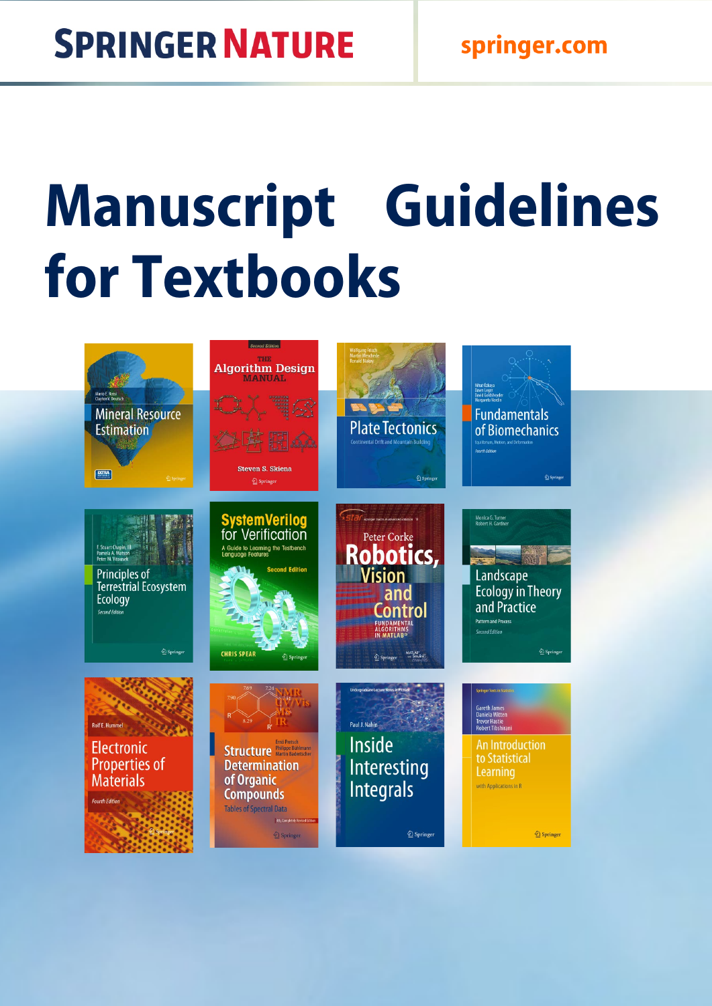# **Manuscript Guidelines for Textbooks**

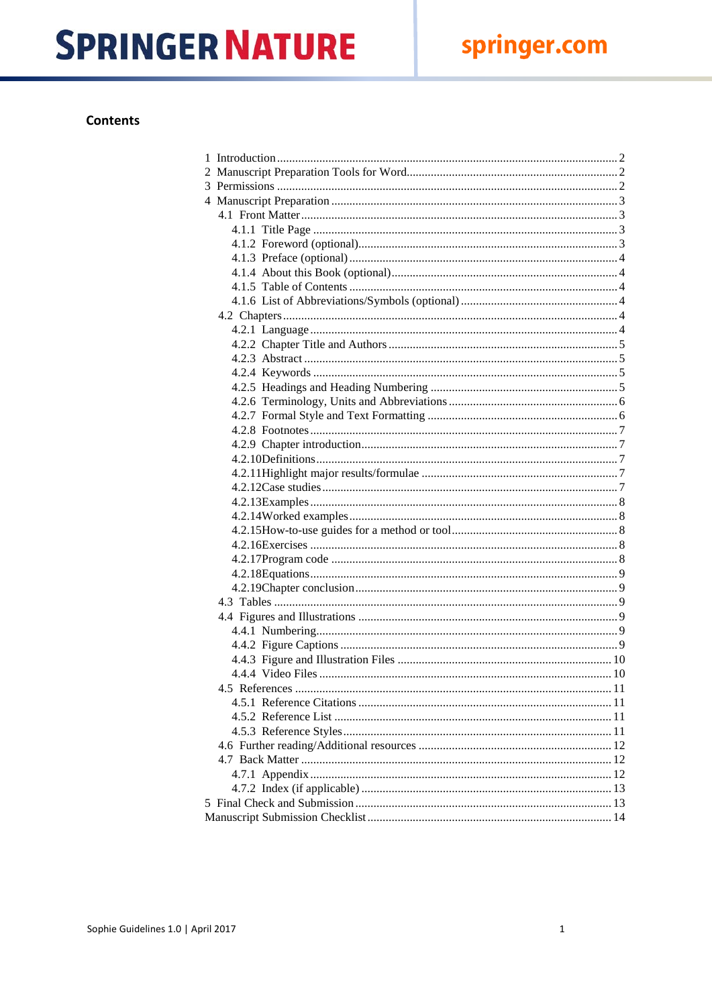### **Contents**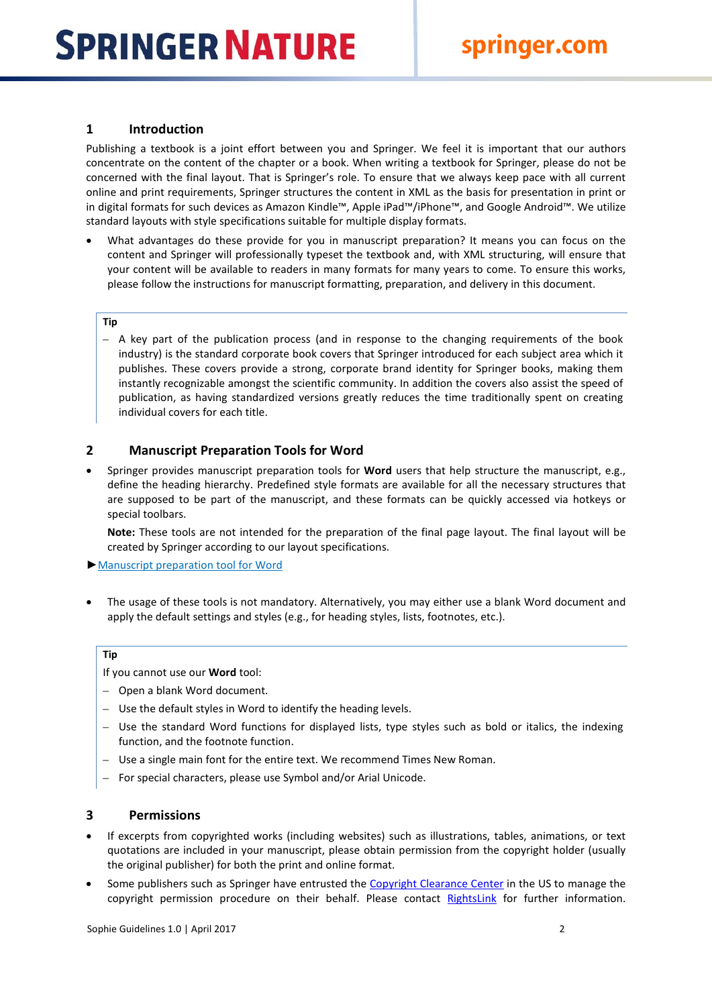### <span id="page-2-0"></span>**1 Introduction**

Publishing a textbook is a joint effort between you and Springer. We feel it is important that our authors concentrate on the content of the chapter or a book. When writing a textbook for Springer, please do not be concerned with the final layout. That is Springer's role. To ensure that we always keep pace with all current online and print requirements, Springer structures the content in XML as the basis for presentation in print or in digital formats for such devices as Amazon Kindle™, Apple iPad™/iPhone™, and Google Android™. We utilize standard layouts with style specifications suitable for multiple display formats.

• What advantages do these provide for you in manuscript preparation? It means you can focus on the content and Springer will professionally typeset the textbook and, with XML structuring, will ensure that your content will be available to readers in many formats for many years to come. To ensure this works, please follow the instructions for manuscript formatting, preparation, and delivery in this document.

### **Tip**

– A key part of the publication process (and in response to the changing requirements of the book industry) is the standard corporate book covers that Springer introduced for each subject area which it publishes. These covers provide a strong, corporate brand identity for Springer books, making them instantly recognizable amongst the scientific community. In addition the covers also assist the speed of publication, as having standardized versions greatly reduces the time traditionally spent on creating individual covers for each title.

### <span id="page-2-1"></span>**2 Manuscript Preparation Tools for Word**

• Springer provides manuscript preparation tools for **Word** users that help structure the manuscript, e.g., define the heading hierarchy. Predefined style formats are available for all the necessary structures that are supposed to be part of the manuscript, and these formats can be quickly accessed via hotkeys or special toolbars.

**Note:** These tools are not intended for the preparation of the final page layout. The final layout will be created by Springer according to our layout specifications.

►[Manuscript preparation tool for Word](http://www.springer.com/cda/content/document/cda_downloaddocument/T1-book.zip?SGWID=0-0-45-392600-0)

• The usage of these tools is not mandatory. Alternatively, you may either use a blank Word document and apply the default settings and styles (e.g., for heading styles, lists, footnotes, etc.).

### **Tip**

If you cannot use our **Word** tool:

- Open a blank Word document.
- Use the default styles in Word to identify the heading levels.
- Use the standard Word functions for displayed lists, type styles such as bold or italics, the indexing function, and the footnote function.
- Use a single main font for the entire text. We recommend Times New Roman.
- For special characters, please use Symbol and/or Arial Unicode.

### <span id="page-2-2"></span>**3 Permissions**

- If excerpts from copyrighted works (including websites) such as illustrations, tables, animations, or text quotations are included in your manuscript, please obtain permission from the copyright holder (usually the original publisher) for both the print and online format.
- Some publishers such as Springer have entrusted the [Copyright Clearance Center](http://www.copyright.com/) in the US to manage the copyright permission procedure on their behalf. Please contact [RightsLink](http://www.copyright.com/content/cc3/en/toolbar/productsAndSolutions/rightslink.html) for further information.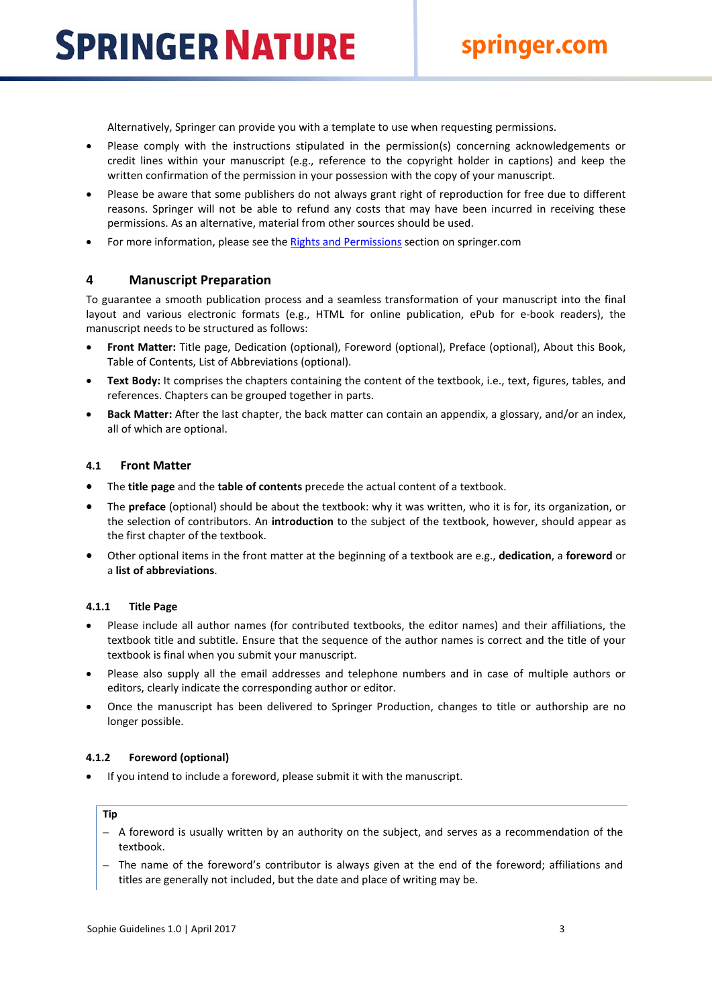Alternatively, Springer can provide you with a template to use when requesting permissions.

- Please comply with the instructions stipulated in the permission(s) concerning acknowledgements or credit lines within your manuscript (e.g., reference to the copyright holder in captions) and keep the written confirmation of the permission in your possession with the copy of your manuscript.
- Please be aware that some publishers do not always grant right of reproduction for free due to different reasons. Springer will not be able to refund any costs that may have been incurred in receiving these permissions. As an alternative, material from other sources should be used.
- For more information, please see the [Rights and Permissions](http://www.springer.com/authors/book%2Bauthors/helpdesk?SGWID=0-1723113-12-806204-0) section on springer.com

### <span id="page-3-0"></span>**4 Manuscript Preparation**

To guarantee a smooth publication process and a seamless transformation of your manuscript into the final layout and various electronic formats (e.g., HTML for online publication, ePub for e-book readers), the manuscript needs to be structured as follows:

- **Front Matter:** Title page, Dedication (optional), Foreword (optional), Preface (optional), About this Book, Table of Contents, List of Abbreviations (optional).
- **Text Body:** It comprises the chapters containing the content of the textbook, i.e., text, figures, tables, and references. Chapters can be grouped together in parts.
- **Back Matter:** After the last chapter, the back matter can contain an appendix, a glossary, and/or an index, all of which are optional.

### <span id="page-3-1"></span>**4.1 Front Matter**

- The **title page** and the **table of contents** precede the actual content of a textbook.
- The **preface** (optional) should be about the textbook: why it was written, who it is for, its organization, or the selection of contributors. An **introduction** to the subject of the textbook, however, should appear as the first chapter of the textbook.
- Other optional items in the front matter at the beginning of a textbook are e.g., **dedication**, a **foreword** or a **list of abbreviations**.

### <span id="page-3-2"></span>**4.1.1 Title Page**

- Please include all author names (for contributed textbooks, the editor names) and their affiliations, the textbook title and subtitle. Ensure that the sequence of the author names is correct and the title of your textbook is final when you submit your manuscript.
- Please also supply all the email addresses and telephone numbers and in case of multiple authors or editors, clearly indicate the corresponding author or editor.
- Once the manuscript has been delivered to Springer Production, changes to title or authorship are no longer possible.

### <span id="page-3-3"></span>**4.1.2 Foreword (optional)**

• If you intend to include a foreword, please submit it with the manuscript.

### **Tip**

- A foreword is usually written by an authority on the subject, and serves as a recommendation of the textbook.
- The name of the foreword's contributor is always given at the end of the foreword; affiliations and titles are generally not included, but the date and place of writing may be.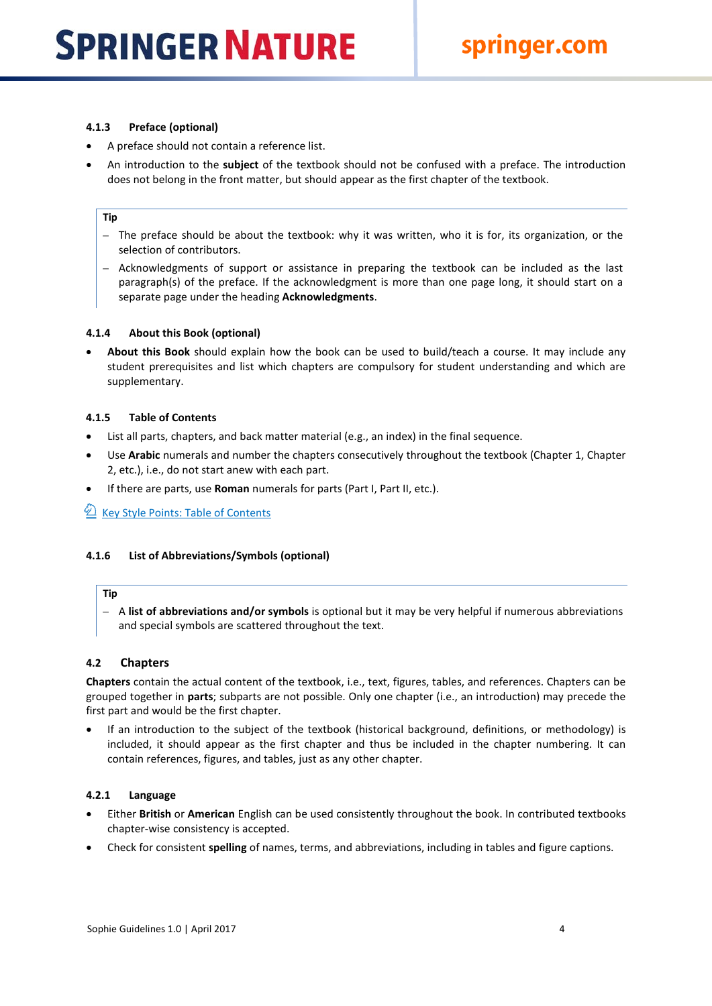### <span id="page-4-0"></span>**4.1.3 Preface (optional)**

- A preface should not contain a reference list.
- An introduction to the **subject** of the textbook should not be confused with a preface. The introduction does not belong in the front matter, but should appear as the first chapter of the textbook.

### **Tip**

- The preface should be about the textbook: why it was written, who it is for, its organization, or the selection of contributors.
- Acknowledgments of support or assistance in preparing the textbook can be included as the last paragraph(s) of the preface. If the acknowledgment is more than one page long, it should start on a separate page under the heading **Acknowledgments**.

### <span id="page-4-1"></span>**4.1.4 About this Book (optional)**

• **About this Book** should explain how the book can be used to build/teach a course. It may include any student prerequisites and list which chapters are compulsory for student understanding and which are supplementary.

### <span id="page-4-2"></span>**4.1.5 Table of Contents**

- List all parts, chapters, and back matter material (e.g., an index) in the final sequence.
- Use **Arabic** numerals and number the chapters consecutively throughout the textbook (Chapter 1, Chapter 2, etc.), i.e., do not start anew with each part.
- If there are parts, use **Roman** numerals for parts (Part I, Part II, etc.).

### 1 [Key Style Points: Table of Contents](http://www.springer.com/cda/content/document/cda_downloaddocument/Key_Style_Points_TOC.pdf?SGWID=0-0-45-1330661-0)

### <span id="page-4-3"></span>**4.1.6 List of Abbreviations/Symbols (optional)**

### **Tip**

– A **list of abbreviations and/or symbols** is optional but it may be very helpful if numerous abbreviations and special symbols are scattered throughout the text.

### <span id="page-4-4"></span>**4.2 Chapters**

**Chapters** contain the actual content of the textbook, i.e., text, figures, tables, and references. Chapters can be grouped together in **parts**; subparts are not possible. Only one chapter (i.e., an introduction) may precede the first part and would be the first chapter.

• If an introduction to the subject of the textbook (historical background, definitions, or methodology) is included, it should appear as the first chapter and thus be included in the chapter numbering. It can contain references, figures, and tables, just as any other chapter.

### <span id="page-4-5"></span>**4.2.1 Language**

- Either **British** or **American** English can be used consistently throughout the book. In contributed textbooks chapter-wise consistency is accepted.
- Check for consistent **spelling** of names, terms, and abbreviations, including in tables and figure captions.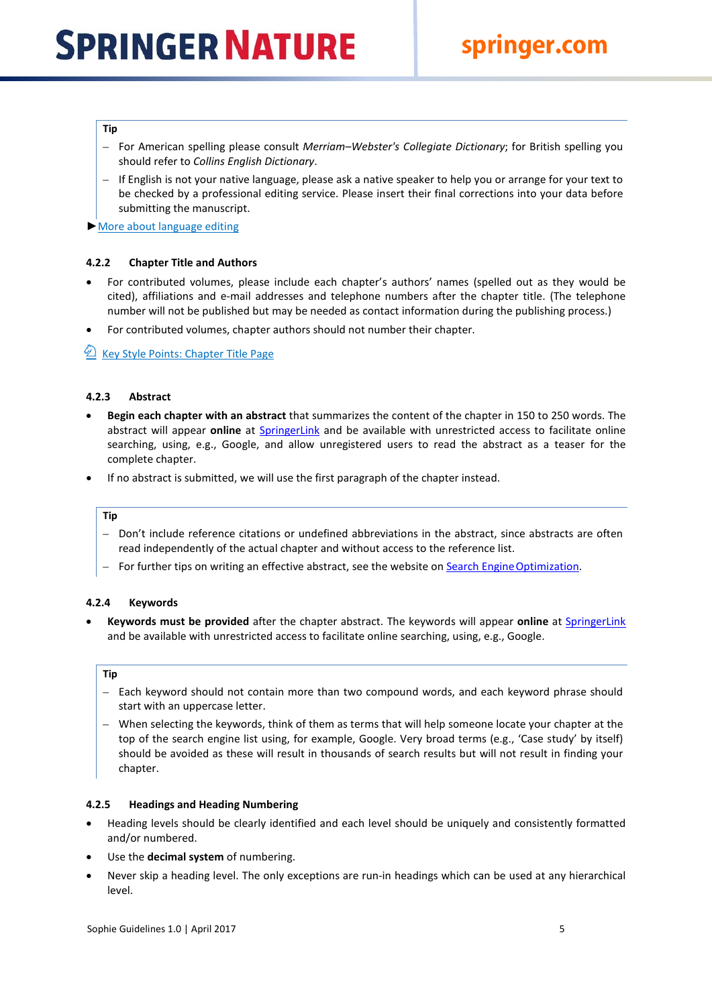### **Tip**

- For American spelling please consult *Merriam–Webster's Collegiate Dictionary*; for British spelling you should refer to *Collins English Dictionary*.
- If English is not your native language, please ask a native speaker to help you or arrange for your text to be checked by a professional editing service. Please insert their final corrections into your data before submitting the manuscript.
- ► More about language editing

### <span id="page-5-0"></span>**4.2.2 Chapter Title and Authors**

- For contributed volumes, please include each chapter's authors' names (spelled out as they would be cited), affiliations and e-mail addresses and telephone numbers after the chapter title. (The telephone number will not be published but may be needed as contact information during the publishing process.)
- For contributed volumes, chapter authors should not number their chapter.

[Key Style Points: Chapter Title Page](http://www.springer.com/cda/content/document/cda_downloaddocument/Key_Style_Points_ChapTitleP.pdf?SGWID=0-0-45-1330662-0)

### <span id="page-5-1"></span>**4.2.3 Abstract**

- **Begin each chapter with an abstract** that summarizes the content of the chapter in 150 to 250 words. The abstract will appear **online** at [SpringerLink](http://link.springer.com/) and be available with unrestricted access to facilitate online searching, using, e.g., Google, and allow unregistered users to read the abstract as a teaser for the complete chapter.
- If no abstract is submitted, we will use the first paragraph of the chapter instead.

### **Tip**

- Don't include reference citations or undefined abbreviations in the abstract, since abstracts are often read independently of the actual chapter and without access to the reference list.
- For further tips on writing an effective abstract, see the website on Search Engine Optimization.

### <span id="page-5-2"></span>**4.2.4 Keywords**

• **Keywords must be provided** after the chapter abstract. The keywords will appear **online** at [SpringerLink](http://link.springer.com/) and be available with unrestricted access to facilitate online searching, using, e.g., Google.

### **Tip**

- Each keyword should not contain more than two compound words, and each keyword phrase should start with an uppercase letter.
- When selecting the keywords, think of them as terms that will help someone locate your chapter at the top of the search engine list using, for example, Google. Very broad terms (e.g., 'Case study' by itself) should be avoided as these will result in thousands of search results but will not result in finding your chapter.

### <span id="page-5-3"></span>**4.2.5 Headings and Heading Numbering**

- Heading levels should be clearly identified and each level should be uniquely and consistently formatted and/or numbered.
- Use the **decimal system** of numbering.
- Never skip a heading level. The only exceptions are run-in headings which can be used at any hierarchical level.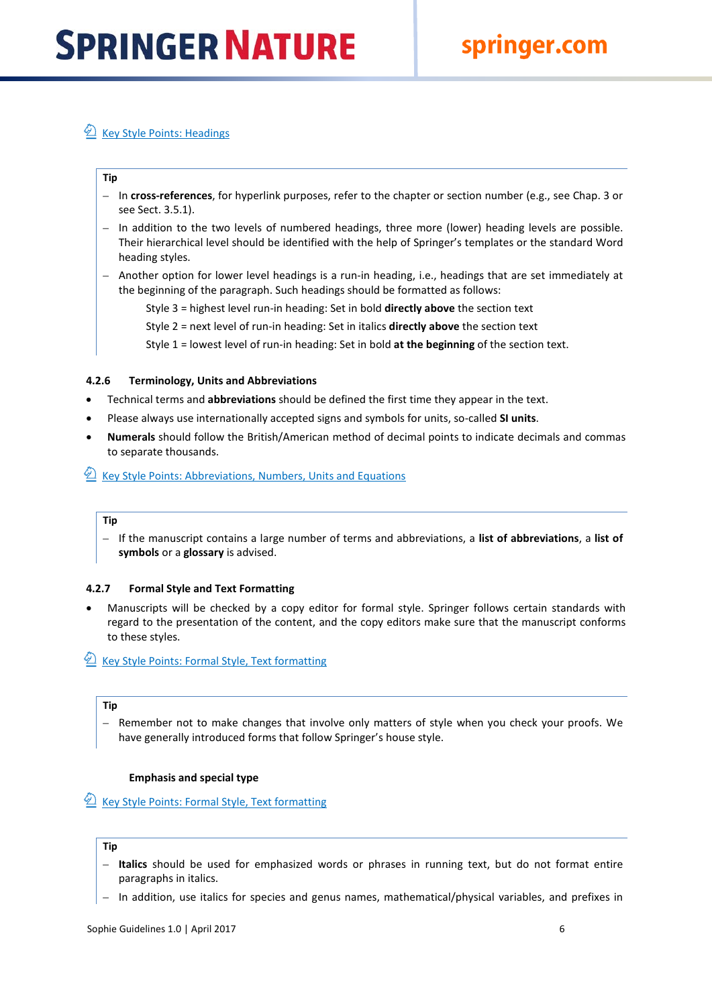### $\mathcal{D}$  [Key Style Points: Headings](http://www.springer.com/cda/content/document/cda_downloaddocument/Key_Style_Points_Headings.pdf?SGWID=0-0-45-1330663-0)

### **Tip**

- In **cross-references**, for hyperlink purposes, refer to the chapter or section number (e.g., see Chap. 3 or see Sect. 3.5.1).
- In addition to the two levels of numbered headings, three more (lower) heading levels are possible. Their hierarchical level should be identified with the help of Springer's templates or the standard Word heading styles.
- Another option for lower level headings is a run-in heading, i.e., headings that are set immediately at the beginning of the paragraph. Such headings should be formatted as follows:

Style 3 = highest level run-in heading: Set in bold **directly above** the section text

Style 2 = next level of run-in heading: Set in italics **directly above** the section text

Style 1 = lowest level of run-in heading: Set in bold **at the beginning** of the section text.

### <span id="page-6-0"></span>**4.2.6 Terminology, Units and Abbreviations**

- Technical terms and **abbreviations** should be defined the first time they appear in the text.
- Please always use internationally accepted signs and symbols for units, so-called **SI units**.
- **Numerals** should follow the British/American method of decimal points to indicate decimals and commas to separate thousands.
- <sup>2</sup> [Key Style Points: Abbreviations, Numbers, Units and](http://www.springer.com/cda/content/document/cda_downloaddocument/Key_Style_Points_Abbrev.pdf?SGWID=0-0-45-1330664-0) Equations

### **Tip**

– If the manuscript contains a large number of terms and abbreviations, a **list of abbreviations**, a **list of symbols** or a **glossary** is advised.

### <span id="page-6-1"></span>**4.2.7 Formal Style and Text Formatting**

• Manuscripts will be checked by a copy editor for formal style. Springer follows certain standards with regard to the presentation of the content, and the copy editors make sure that the manuscript conforms to these styles.

### $\mathcal{L}$  [Key Style Points: Formal Style, Text](http://www.springer.com/cda/content/document/cda_downloaddocument/Key_Style_Points_TextFormat.pdf?SGWID=0-0-45-1330665-0) formatting

### **Tip**

– Remember not to make changes that involve only matters of style when you check your proofs. We have generally introduced forms that follow Springer's house style.

### **Emphasis and special type**

[Key Style Points: Formal Style, Text](http://www.springer.com/cda/content/document/cda_downloaddocument/Key_Style_Points_TextFormat.pdf?SGWID=0-0-45-1330665-0) formatting

### **Tip**

- **Italics** should be used for emphasized words or phrases in running text, but do not format entire paragraphs in italics.
- In addition, use italics for species and genus names, mathematical/physical variables, and prefixes in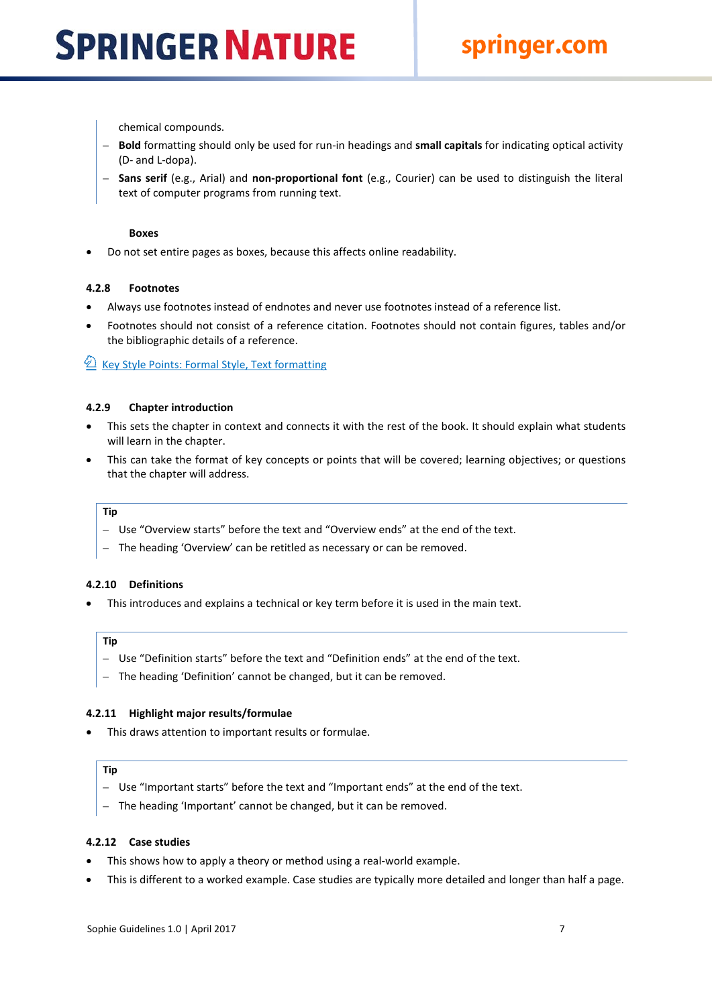chemical compounds.

- **Bold** formatting should only be used for run-in headings and **small capitals** for indicating optical activity (D- and L-dopa).
- **Sans serif** (e.g., Arial) and **non-proportional font** (e.g., Courier) can be used to distinguish the literal text of computer programs from running text.

### **Boxes**

• Do not set entire pages as boxes, because this affects online readability.

### <span id="page-7-0"></span>**4.2.8 Footnotes**

- Always use footnotes instead of endnotes and never use footnotes instead of a reference list.
- Footnotes should not consist of a reference citation. Footnotes should not contain figures, tables and/or the bibliographic details of a reference.

 $\mathcal{D}$  [Key Style Points: Formal Style, Text](http://www.springer.com/cda/content/document/cda_downloaddocument/Key_Style_Points_TextFormat.pdf?SGWID=0-0-45-1330665-0) formatting

### <span id="page-7-1"></span>**4.2.9 Chapter introduction**

- This sets the chapter in context and connects it with the rest of the book. It should explain what students will learn in the chapter.
- This can take the format of key concepts or points that will be covered; learning objectives; or questions that the chapter will address.

### **Tip**

- Use "Overview starts" before the text and "Overview ends" at the end of the text.
- The heading 'Overview' can be retitled as necessary or can be removed.

### <span id="page-7-2"></span>**4.2.10 Definitions**

• This introduces and explains a technical or key term before it is used in the main text.

### **Tip**

- Use "Definition starts" before the text and "Definition ends" at the end of the text.
- The heading 'Definition' cannot be changed, but it can be removed.

### <span id="page-7-3"></span>**4.2.11 Highlight major results/formulae**

• This draws attention to important results or formulae.

### **Tip**

- Use "Important starts" before the text and "Important ends" at the end of the text.
- The heading 'Important' cannot be changed, but it can be removed.

### <span id="page-7-4"></span>**4.2.12 Case studies**

- This shows how to apply a theory or method using a real-world example.
- This is different to a worked example. Case studies are typically more detailed and longer than half a page.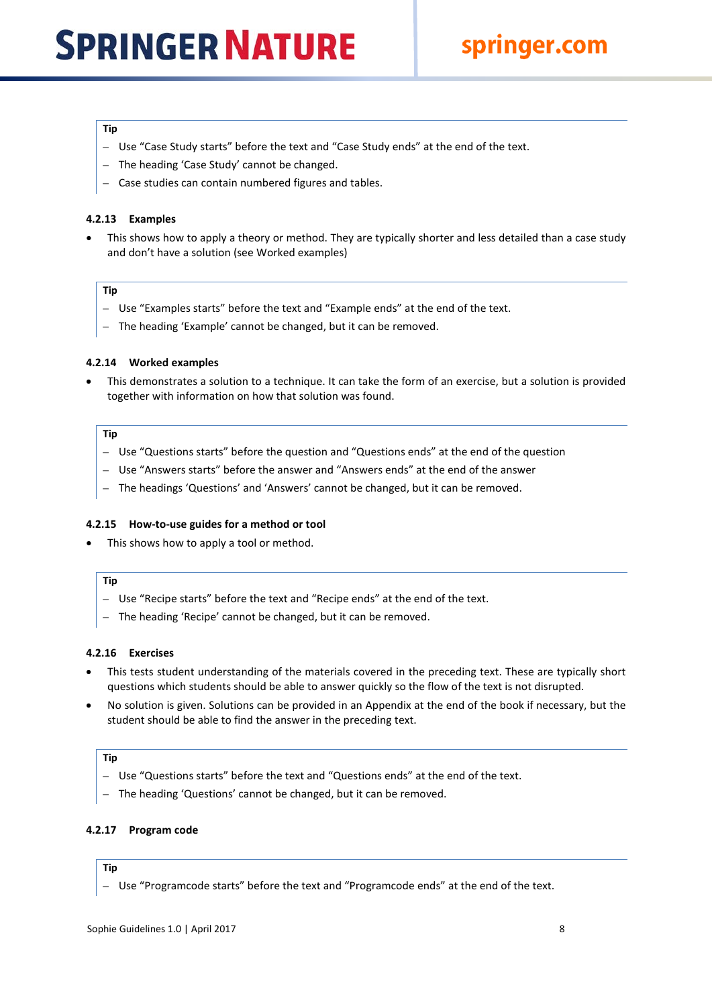### springer.com

### **Tip**

- Use "Case Study starts" before the text and "Case Study ends" at the end of the text.
- The heading 'Case Study' cannot be changed.
- Case studies can contain numbered figures and tables.

### <span id="page-8-0"></span>**4.2.13 Examples**

This shows how to apply a theory or method. They are typically shorter and less detailed than a case study and don't have a solution (see Worked examples)

### **Tip**

- Use "Examples starts" before the text and "Example ends" at the end of the text.
- The heading 'Example' cannot be changed, but it can be removed.

### <span id="page-8-1"></span>**4.2.14 Worked examples**

• This demonstrates a solution to a technique. It can take the form of an exercise, but a solution is provided together with information on how that solution was found.

### **Tip**

- Use "Questions starts" before the question and "Questions ends" at the end of the question
- Use "Answers starts" before the answer and "Answers ends" at the end of the answer
- The headings 'Questions' and 'Answers' cannot be changed, but it can be removed.

### <span id="page-8-2"></span>**4.2.15 How-to-use guides for a method or tool**

This shows how to apply a tool or method.

### **Tip**

- Use "Recipe starts" before the text and "Recipe ends" at the end of the text.
- The heading 'Recipe' cannot be changed, but it can be removed.

### <span id="page-8-3"></span>**4.2.16 Exercises**

- This tests student understanding of the materials covered in the preceding text. These are typically short questions which students should be able to answer quickly so the flow of the text is not disrupted.
- No solution is given. Solutions can be provided in an Appendix at the end of the book if necessary, but the student should be able to find the answer in the preceding text.

### **Tip**

- Use "Questions starts" before the text and "Questions ends" at the end of the text.
- The heading 'Questions' cannot be changed, but it can be removed.

### <span id="page-8-4"></span>**4.2.17 Program code**

### **Tip**

– Use "Programcode starts" before the text and "Programcode ends" at the end of the text.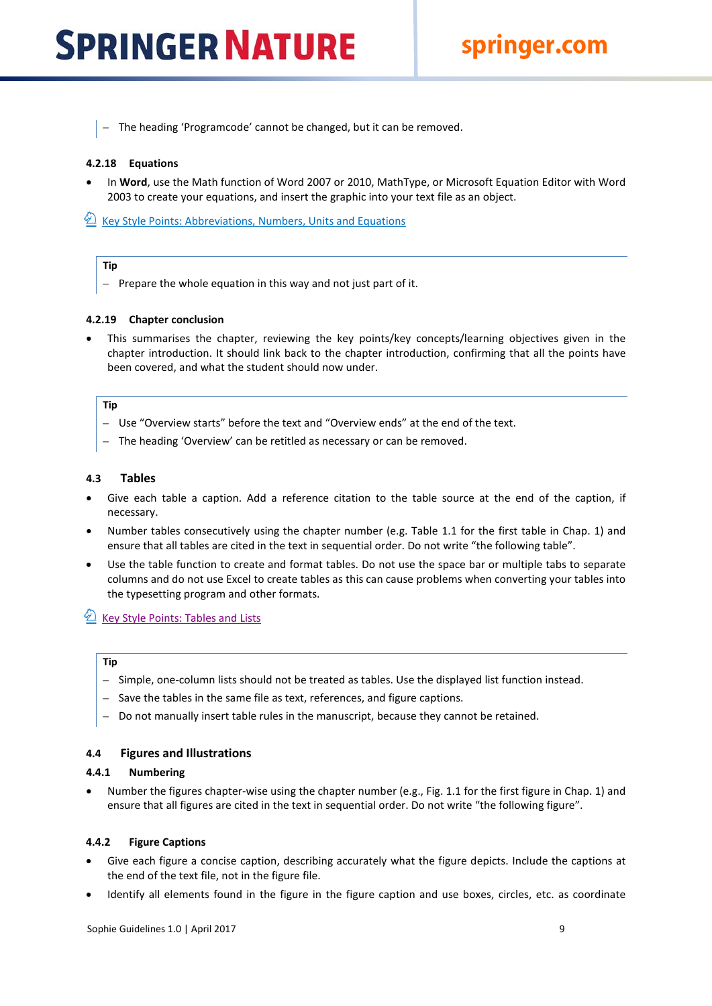– The heading 'Programcode' cannot be changed, but it can be removed.

### <span id="page-9-0"></span>**4.2.18 Equations**

• In **Word**, use the Math function of Word 2007 or 2010, MathType, or Microsoft Equation Editor with Word 2003 to create your equations, and insert the graphic into your text file as an object.

E [Key Style Points: Abbreviations, Numbers, Units and](http://www.springer.com/cda/content/document/cda_downloaddocument/Key_Style_Points_Abbrev.pdf?SGWID=0-0-45-1330664-0) Equations

### **Tip**

– Prepare the whole equation in this way and not just part of it.

### <span id="page-9-1"></span>**4.2.19 Chapter conclusion**

• This summarises the chapter, reviewing the key points/key concepts/learning objectives given in the chapter introduction. It should link back to the chapter introduction, confirming that all the points have been covered, and what the student should now under.

### **Tip**

- Use "Overview starts" before the text and "Overview ends" at the end of the text.
- The heading 'Overview' can be retitled as necessary or can be removed.

### <span id="page-9-2"></span>**4.3 Tables**

- Give each table a caption. Add a reference citation to the table source at the end of the caption, if necessary.
- Number tables consecutively using the chapter number (e.g. Table 1.1 for the first table in Chap. 1) and ensure that all tables are cited in the text in sequential order. Do not write "the following table".
- Use the table function to create and format tables. Do not use the space bar or multiple tabs to separate columns and do not use Excel to create tables as this can cause problems when converting your tables into the typesetting program and other formats.

### $\mathcal{D}$  [Key Style Points: Tables and](http://www.springer.com/cda/content/document/cda_downloaddocument/Key_Style_Points_Tables.pdf?SGWID=0-0-45-1330666-0) Lists

### **Tip**

- Simple, one-column lists should not be treated as tables. Use the displayed list function instead.
- Save the tables in the same file as text, references, and figure captions.
- Do not manually insert table rules in the manuscript, because they cannot be retained.

### <span id="page-9-3"></span>**4.4 Figures and Illustrations**

### <span id="page-9-4"></span>**4.4.1 Numbering**

• Number the figures chapter-wise using the chapter number (e.g., Fig. 1.1 for the first figure in Chap. 1) and ensure that all figures are cited in the text in sequential order. Do not write "the following figure".

### <span id="page-9-5"></span>**4.4.2 Figure Captions**

- Give each figure a concise caption, describing accurately what the figure depicts. Include the captions at the end of the text file, not in the figure file.
- Identify all elements found in the figure in the figure caption and use boxes, circles, etc. as coordinate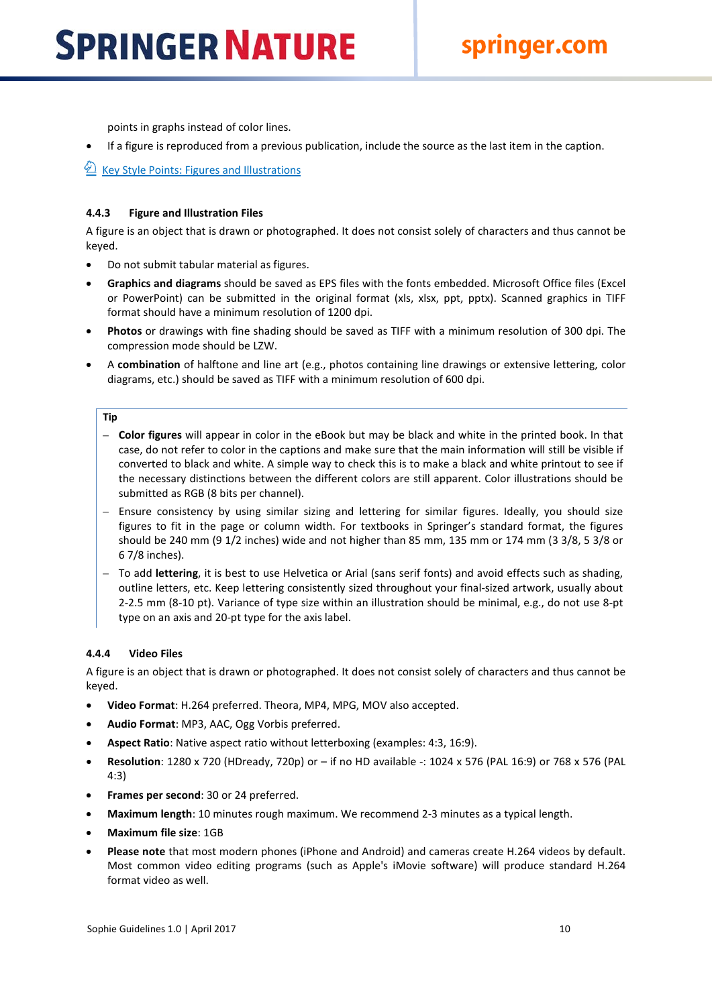points in graphs instead of color lines.

• If a figure is reproduced from a previous publication, include the source as the last item in the caption.

1 [Key Style Points: Figures and](http://www.springer.com/cda/content/document/cda_downloaddocument/Key_Style_Points_Figs.pdf?SGWID=0-0-45-1330667-0) Illustrations

### <span id="page-10-0"></span>**4.4.3 Figure and Illustration Files**

A figure is an object that is drawn or photographed. It does not consist solely of characters and thus cannot be keyed.

- Do not submit tabular material as figures.
- **Graphics and diagrams** should be saved as EPS files with the fonts embedded. Microsoft Office files (Excel or PowerPoint) can be submitted in the original format (xls, xlsx, ppt, pptx). Scanned graphics in TIFF format should have a minimum resolution of 1200 dpi.
- **Photos** or drawings with fine shading should be saved as TIFF with a minimum resolution of 300 dpi. The compression mode should be LZW.
- A **combination** of halftone and line art (e.g., photos containing line drawings or extensive lettering, color diagrams, etc.) should be saved as TIFF with a minimum resolution of 600 dpi.

### **Tip**

- **Color figures** will appear in color in the eBook but may be black and white in the printed book. In that case, do not refer to color in the captions and make sure that the main information will still be visible if converted to black and white. A simple way to check this is to make a black and white printout to see if the necessary distinctions between the different colors are still apparent. Color illustrations should be submitted as RGB (8 bits per channel).
- Ensure consistency by using similar sizing and lettering for similar figures. Ideally, you should size figures to fit in the page or column width. For textbooks in Springer's standard format, the figures should be 240 mm (9 1/2 inches) wide and not higher than 85 mm, 135 mm or 174 mm (3 3/8, 5 3/8 or 6 7/8 inches).
- To add **lettering**, it is best to use Helvetica or Arial (sans serif fonts) and avoid effects such as shading, outline letters, etc. Keep lettering consistently sized throughout your final-sized artwork, usually about 2-2.5 mm (8-10 pt). Variance of type size within an illustration should be minimal, e.g., do not use 8-pt type on an axis and 20-pt type for the axis label.

### <span id="page-10-1"></span>**4.4.4 Video Files**

A figure is an object that is drawn or photographed. It does not consist solely of characters and thus cannot be keyed.

- **Video Format**: H.264 preferred. Theora, MP4, MPG, MOV also accepted.
- **Audio Format**: MP3, AAC, Ogg Vorbis preferred.
- **Aspect Ratio**: Native aspect ratio without letterboxing (examples: 4:3, 16:9).
- **Resolution**: 1280 x 720 (HDready, 720p) or if no HD available -: 1024 x 576 (PAL 16:9) or 768 x 576 (PAL 4:3)
- **Frames per second**: 30 or 24 preferred.
- **Maximum length**: 10 minutes rough maximum. We recommend 2-3 minutes as a typical length.
- **Maximum file size**: 1GB
- **Please note** that most modern phones (iPhone and Android) and cameras create H.264 videos by default. Most common video editing programs (such as Apple's iMovie software) will produce standard H.264 format video as well.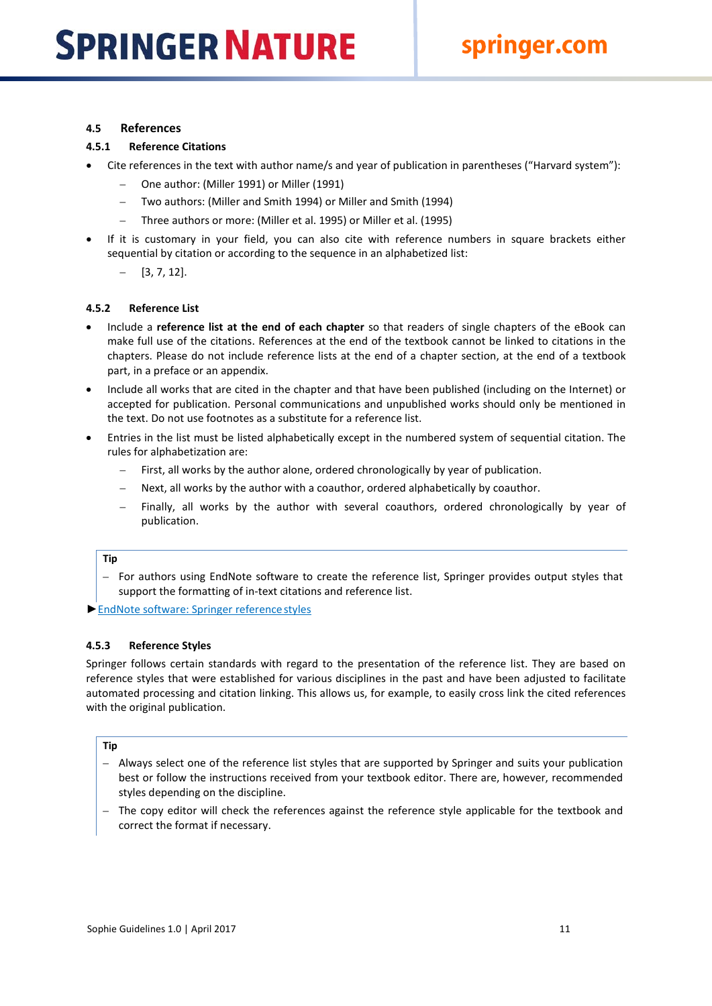### <span id="page-11-0"></span>**4.5 References**

### <span id="page-11-1"></span>**4.5.1 Reference Citations**

- Cite references in the text with author name/s and year of publication in parentheses ("Harvard system"):
	- One author: (Miller 1991) or Miller (1991)
	- Two authors: (Miller and Smith 1994) or Miller and Smith (1994)
	- Three authors or more: (Miller et al. 1995) or Miller et al. (1995)
- If it is customary in your field, you can also cite with reference numbers in square brackets either sequential by citation or according to the sequence in an alphabetized list:
	- $-$  [3, 7, 12].

### <span id="page-11-2"></span>**4.5.2 Reference List**

- Include a **reference list at the end of each chapter** so that readers of single chapters of the eBook can make full use of the citations. References at the end of the textbook cannot be linked to citations in the chapters. Please do not include reference lists at the end of a chapter section, at the end of a textbook part, in a preface or an appendix.
- Include all works that are cited in the chapter and that have been published (including on the Internet) or accepted for publication. Personal communications and unpublished works should only be mentioned in the text. Do not use footnotes as a substitute for a reference list.
- Entries in the list must be listed alphabetically except in the numbered system of sequential citation. The rules for alphabetization are:
	- First, all works by the author alone, ordered chronologically by year of publication.
	- Next, all works by the author with a coauthor, ordered alphabetically by coauthor.
	- Finally, all works by the author with several coauthors, ordered chronologically by year of publication.

### **Tip**

– For authors using EndNote software to create the reference list, Springer provides output styles that support the formatting of in-text citations and reference list.

►[EndNote software: Springer referencestyles](http://www.springer.com/cda/content/document/cda_downloaddocument/SpringerEndnoteStyles_Books.zip?SGWID=0-0-45-946637-0)

### <span id="page-11-3"></span>**4.5.3 Reference Styles**

Springer follows certain standards with regard to the presentation of the reference list. They are based on reference styles that were established for various disciplines in the past and have been adjusted to facilitate automated processing and citation linking. This allows us, for example, to easily cross link the cited references with the original publication.

### **Tip**

- Always select one of the reference list styles that are supported by Springer and suits your publication best or follow the instructions received from your textbook editor. There are, however, recommended styles depending on the discipline.
- The copy editor will check the references against the reference style applicable for the textbook and correct the format if necessary.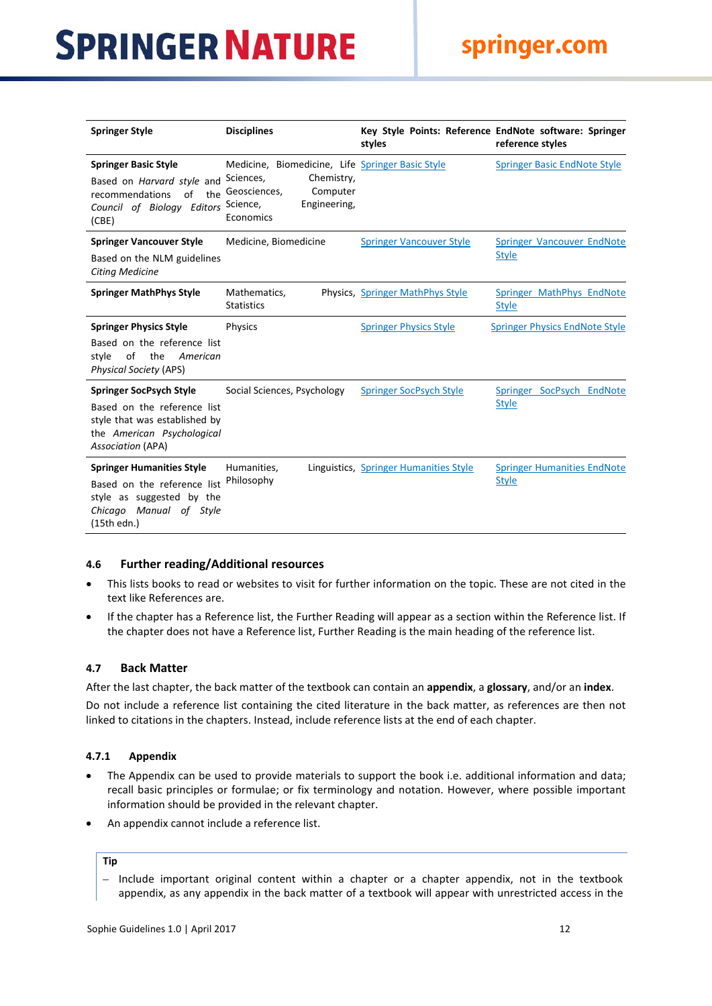| <b>Springer Style</b>                                                                                                                                    | <b>Disciplines</b>                                                                                                                               | styles                                 | Key Style Points: Reference EndNote software: Springer<br>reference styles |
|----------------------------------------------------------------------------------------------------------------------------------------------------------|--------------------------------------------------------------------------------------------------------------------------------------------------|----------------------------------------|----------------------------------------------------------------------------|
| <b>Springer Basic Style</b><br>Based on Harvard style and<br>recommendations<br>of<br>the<br>Council of Biology Editors<br>(CBE)                         | Medicine, Biomedicine, Life Springer Basic Style<br>Chemistry,<br>Sciences,<br>Geosciences,<br>Computer<br>Science,<br>Engineering,<br>Economics |                                        | <b>Springer Basic EndNote Style</b>                                        |
| <b>Springer Vancouver Style</b><br>Based on the NLM guidelines<br><b>Citing Medicine</b>                                                                 | Medicine, Biomedicine                                                                                                                            | <b>Springer Vancouver Style</b>        | Springer Vancouver EndNote<br><b>Style</b>                                 |
| <b>Springer MathPhys Style</b>                                                                                                                           | Mathematics,<br><b>Statistics</b>                                                                                                                | Physics, Springer MathPhys Style       | Springer MathPhys EndNote<br><b>Style</b>                                  |
| <b>Springer Physics Style</b><br>Based on the reference list<br>style<br>of<br>the<br>American<br><b>Physical Society (APS)</b>                          | <b>Physics</b>                                                                                                                                   | <b>Springer Physics Style</b>          | <b>Springer Physics EndNote Style</b>                                      |
| <b>Springer SocPsych Style</b><br>Based on the reference list<br>style that was established by<br>the American Psychological<br><b>Association (APA)</b> | Social Sciences, Psychology                                                                                                                      | <b>Springer SocPsych Style</b>         | Springer SocPsych EndNote<br><b>Style</b>                                  |
| <b>Springer Humanities Style</b><br>Based on the reference list<br>style as suggested by the<br>Chicago Manual of Style<br>(15th edn.)                   | Humanities,<br>Philosophy                                                                                                                        | Linguistics, Springer Humanities Style | <b>Springer Humanities EndNote</b><br><b>Style</b>                         |

### <span id="page-12-0"></span>**4.6 Further reading/Additional resources**

- This lists books to read or websites to visit for further information on the topic. These are not cited in the text like References are.
- If the chapter has a Reference list, the Further Reading will appear as a section within the Reference list. If the chapter does not have a Reference list, Further Reading is the main heading of the reference list.

### <span id="page-12-1"></span>**4.7 Back Matter**

After the last chapter, the back matter of the textbook can contain an **appendix**, a **glossary**, and/or an **index**.

Do not include a reference list containing the cited literature in the back matter, as references are then not linked to citations in the chapters. Instead, include reference lists at the end of each chapter.

### <span id="page-12-2"></span>**4.7.1 Appendix**

- The Appendix can be used to provide materials to support the book i.e. additional information and data; recall basic principles or formulae; or fix terminology and notation. However, where possible important information should be provided in the relevant chapter.
- An appendix cannot include a reference list.

### **Tip**

– Include important original content within a chapter or a chapter appendix, not in the textbook appendix, as any appendix in the back matter of a textbook will appear with unrestricted access in the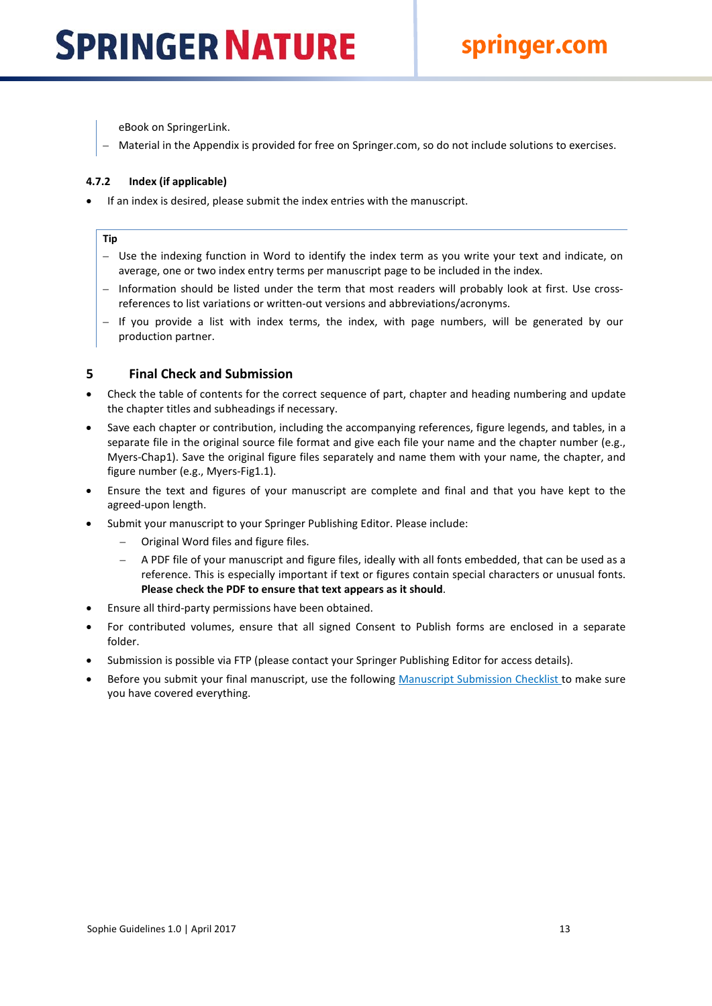eBook on SpringerLink.

– Material in the Appendix is provided for free on Springer.com, so do not include solutions to exercises.

### <span id="page-13-0"></span>**4.7.2 Index (if applicable)**

• If an index is desired, please submit the index entries with the manuscript.

### **Tip**

- Use the indexing function in Word to identify the index term as you write your text and indicate, on average, one or two index entry terms per manuscript page to be included in the index.
- Information should be listed under the term that most readers will probably look at first. Use crossreferences to list variations or written-out versions and abbreviations/acronyms.
- If you provide a list with index terms, the index, with page numbers, will be generated by our production partner.

### <span id="page-13-1"></span>**5 Final Check and Submission**

- Check the table of contents for the correct sequence of part, chapter and heading numbering and update the chapter titles and subheadings if necessary.
- Save each chapter or contribution, including the accompanying references, figure legends, and tables, in a separate file in the original source file format and give each file your name and the chapter number (e.g., Myers-Chap1). Save the original figure files separately and name them with your name, the chapter, and figure number (e.g., Myers-Fig1.1).
- Ensure the text and figures of your manuscript are complete and final and that you have kept to the agreed-upon length.
- Submit your manuscript to your Springer Publishing Editor. Please include:
	- Original Word files and figure files.
	- A PDF file of your manuscript and figure files, ideally with all fonts embedded, that can be used as a reference. This is especially important if text or figures contain special characters or unusual fonts. **Please check the PDF to ensure that text appears as it should**.
- Ensure all third-party permissions have been obtained.
- For contributed volumes, ensure that all signed Consent to Publish forms are enclosed in a separate folder.
- Submission is possible via FTP (please contact your Springer Publishing Editor for access details).
- Before you submit your final manuscript, use the following [Manuscript Submission Checklist t](http://www.springer.com/cda/content/document/cda_downloaddocument/MS_Checklist.pdf?SGWID=0-0-45-1330674-0)o make sure you have covered everything.